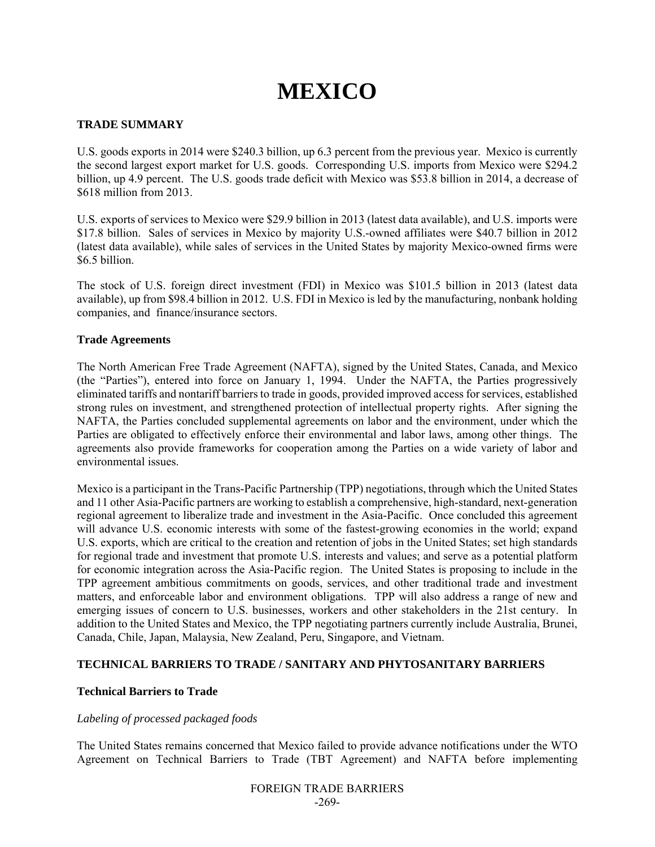# **MEXICO**

#### **TRADE SUMMARY**

U.S. goods exports in 2014 were \$240.3 billion, up 6.3 percent from the previous year. Mexico is currently the second largest export market for U.S. goods. Corresponding U.S. imports from Mexico were \$294.2 billion, up 4.9 percent. The U.S. goods trade deficit with Mexico was \$53.8 billion in 2014, a decrease of \$618 million from 2013.

U.S. exports of services to Mexico were \$29.9 billion in 2013 (latest data available), and U.S. imports were \$17.8 billion. Sales of services in Mexico by majority U.S.-owned affiliates were \$40.7 billion in 2012 (latest data available), while sales of services in the United States by majority Mexico-owned firms were \$6.5 billion.

The stock of U.S. foreign direct investment (FDI) in Mexico was \$101.5 billion in 2013 (latest data available), up from \$98.4 billion in 2012. U.S. FDI in Mexico is led by the manufacturing, nonbank holding companies, and finance/insurance sectors.

#### **Trade Agreements**

The North American Free Trade Agreement (NAFTA), signed by the United States, Canada, and Mexico (the "Parties"), entered into force on January 1, 1994. Under the NAFTA, the Parties progressively eliminated tariffs and nontariff barriers to trade in goods, provided improved access for services, established strong rules on investment, and strengthened protection of intellectual property rights. After signing the NAFTA, the Parties concluded supplemental agreements on labor and the environment, under which the Parties are obligated to effectively enforce their environmental and labor laws, among other things. The agreements also provide frameworks for cooperation among the Parties on a wide variety of labor and environmental issues.

Mexico is a participant in the Trans-Pacific Partnership (TPP) negotiations, through which the United States and 11 other Asia-Pacific partners are working to establish a comprehensive, high-standard, next-generation regional agreement to liberalize trade and investment in the Asia-Pacific. Once concluded this agreement will advance U.S. economic interests with some of the fastest-growing economies in the world; expand U.S. exports, which are critical to the creation and retention of jobs in the United States; set high standards for regional trade and investment that promote U.S. interests and values; and serve as a potential platform for economic integration across the Asia-Pacific region. The United States is proposing to include in the TPP agreement ambitious commitments on goods, services, and other traditional trade and investment matters, and enforceable labor and environment obligations. TPP will also address a range of new and emerging issues of concern to U.S. businesses, workers and other stakeholders in the 21st century. In addition to the United States and Mexico, the TPP negotiating partners currently include Australia, Brunei, Canada, Chile, Japan, Malaysia, New Zealand, Peru, Singapore, and Vietnam.

#### **TECHNICAL BARRIERS TO TRADE / SANITARY AND PHYTOSANITARY BARRIERS**

#### **Technical Barriers to Trade**

#### *Labeling of processed packaged foods*

The United States remains concerned that Mexico failed to provide advance notifications under the WTO Agreement on Technical Barriers to Trade (TBT Agreement) and NAFTA before implementing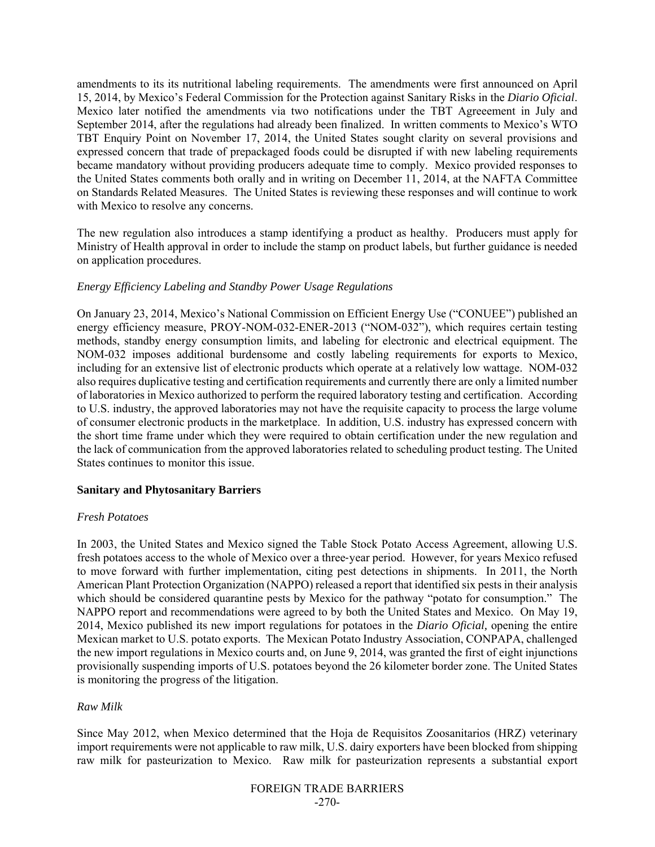amendments to its its nutritional labeling requirements. The amendments were first announced on April 15, 2014, by Mexico's Federal Commission for the Protection against Sanitary Risks in the *Diario Oficial*. Mexico later notified the amendments via two notifications under the TBT Agreeement in July and September 2014, after the regulations had already been finalized. In written comments to Mexico's WTO TBT Enquiry Point on November 17, 2014, the United States sought clarity on several provisions and expressed concern that trade of prepackaged foods could be disrupted if with new labeling requirements became mandatory without providing producers adequate time to comply. Mexico provided responses to the United States comments both orally and in writing on December 11, 2014, at the NAFTA Committee on Standards Related Measures. The United States is reviewing these responses and will continue to work with Mexico to resolve any concerns.

The new regulation also introduces a stamp identifying a product as healthy. Producers must apply for Ministry of Health approval in order to include the stamp on product labels, but further guidance is needed on application procedures.

#### *Energy Efficiency Labeling and Standby Power Usage Regulations*

On January 23, 2014, Mexico's National Commission on Efficient Energy Use ("CONUEE") published an energy efficiency measure, PROY-NOM-032-ENER-2013 ("NOM-032"), which requires certain testing methods, standby energy consumption limits, and labeling for electronic and electrical equipment. The NOM-032 imposes additional burdensome and costly labeling requirements for exports to Mexico, including for an extensive list of electronic products which operate at a relatively low wattage. NOM-032 also requires duplicative testing and certification requirements and currently there are only a limited number of laboratories in Mexico authorized to perform the required laboratory testing and certification. According to U.S. industry, the approved laboratories may not have the requisite capacity to process the large volume of consumer electronic products in the marketplace. In addition, U.S. industry has expressed concern with the short time frame under which they were required to obtain certification under the new regulation and the lack of communication from the approved laboratories related to scheduling product testing. The United States continues to monitor this issue.

#### **Sanitary and Phytosanitary Barriers**

#### *Fresh Potatoes*

In 2003, the United States and Mexico signed the Table Stock Potato Access Agreement, allowing U.S. fresh potatoes access to the whole of Mexico over a three‐year period. However, for years Mexico refused to move forward with further implementation, citing pest detections in shipments. In 2011, the North American Plant Protection Organization (NAPPO) released a report that identified six pests in their analysis which should be considered quarantine pests by Mexico for the pathway "potato for consumption." The NAPPO report and recommendations were agreed to by both the United States and Mexico. On May 19, 2014, Mexico published its new import regulations for potatoes in the *Diario Oficial,* opening the entire Mexican market to U.S. potato exports. The Mexican Potato Industry Association, CONPAPA, challenged the new import regulations in Mexico courts and, on June 9, 2014, was granted the first of eight injunctions provisionally suspending imports of U.S. potatoes beyond the 26 kilometer border zone. The United States is monitoring the progress of the litigation.

#### *Raw Milk*

Since May 2012, when Mexico determined that the Hoja de Requisitos Zoosanitarios (HRZ) veterinary import requirements were not applicable to raw milk, U.S. dairy exporters have been blocked from shipping raw milk for pasteurization to Mexico. Raw milk for pasteurization represents a substantial export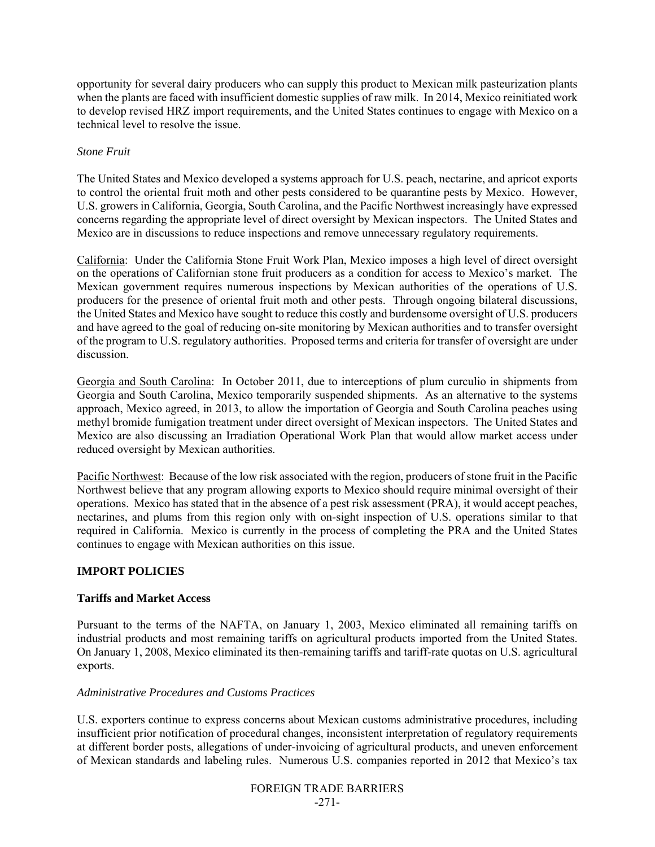opportunity for several dairy producers who can supply this product to Mexican milk pasteurization plants when the plants are faced with insufficient domestic supplies of raw milk. In 2014, Mexico reinitiated work to develop revised HRZ import requirements, and the United States continues to engage with Mexico on a technical level to resolve the issue.

#### *Stone Fruit*

The United States and Mexico developed a systems approach for U.S. peach, nectarine, and apricot exports to control the oriental fruit moth and other pests considered to be quarantine pests by Mexico. However, U.S. growers in California, Georgia, South Carolina, and the Pacific Northwest increasingly have expressed concerns regarding the appropriate level of direct oversight by Mexican inspectors. The United States and Mexico are in discussions to reduce inspections and remove unnecessary regulatory requirements.

California: Under the California Stone Fruit Work Plan, Mexico imposes a high level of direct oversight on the operations of Californian stone fruit producers as a condition for access to Mexico's market. The Mexican government requires numerous inspections by Mexican authorities of the operations of U.S. producers for the presence of oriental fruit moth and other pests. Through ongoing bilateral discussions, the United States and Mexico have sought to reduce this costly and burdensome oversight of U.S. producers and have agreed to the goal of reducing on-site monitoring by Mexican authorities and to transfer oversight of the program to U.S. regulatory authorities. Proposed terms and criteria for transfer of oversight are under discussion.

Georgia and South Carolina: In October 2011, due to interceptions of plum curculio in shipments from Georgia and South Carolina, Mexico temporarily suspended shipments. As an alternative to the systems approach, Mexico agreed, in 2013, to allow the importation of Georgia and South Carolina peaches using methyl bromide fumigation treatment under direct oversight of Mexican inspectors. The United States and Mexico are also discussing an Irradiation Operational Work Plan that would allow market access under reduced oversight by Mexican authorities.

Pacific Northwest: Because of the low risk associated with the region, producers of stone fruit in the Pacific Northwest believe that any program allowing exports to Mexico should require minimal oversight of their operations. Mexico has stated that in the absence of a pest risk assessment (PRA), it would accept peaches, nectarines, and plums from this region only with on-sight inspection of U.S. operations similar to that required in California. Mexico is currently in the process of completing the PRA and the United States continues to engage with Mexican authorities on this issue.

## **IMPORT POLICIES**

## **Tariffs and Market Access**

Pursuant to the terms of the NAFTA, on January 1, 2003, Mexico eliminated all remaining tariffs on industrial products and most remaining tariffs on agricultural products imported from the United States. On January 1, 2008, Mexico eliminated its then-remaining tariffs and tariff-rate quotas on U.S. agricultural exports.

#### *Administrative Procedures and Customs Practices*

U.S. exporters continue to express concerns about Mexican customs administrative procedures, including insufficient prior notification of procedural changes, inconsistent interpretation of regulatory requirements at different border posts, allegations of under-invoicing of agricultural products, and uneven enforcement of Mexican standards and labeling rules. Numerous U.S. companies reported in 2012 that Mexico's tax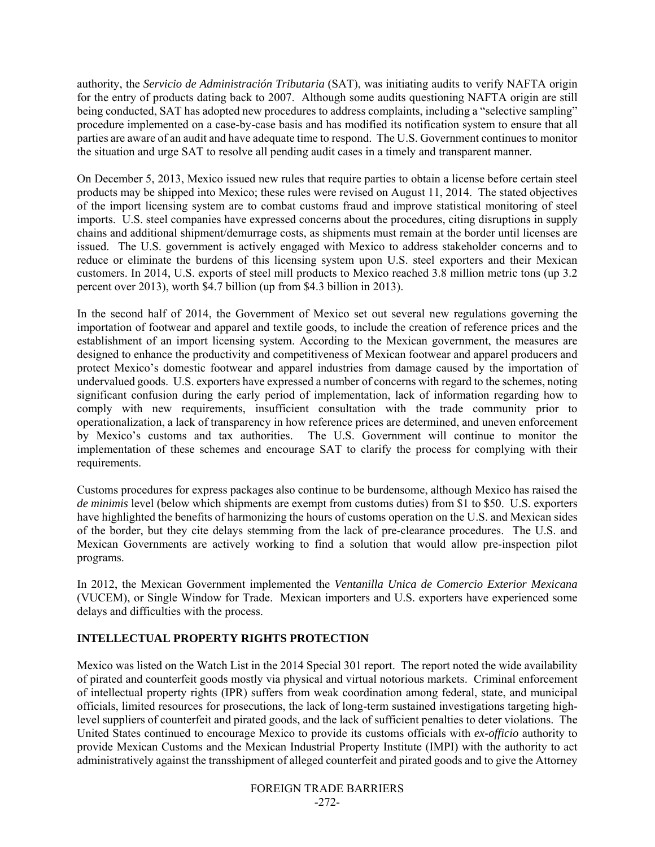authority, the *Servicio de Administración Tributaria* (SAT), was initiating audits to verify NAFTA origin for the entry of products dating back to 2007. Although some audits questioning NAFTA origin are still being conducted, SAT has adopted new procedures to address complaints, including a "selective sampling" procedure implemented on a case-by-case basis and has modified its notification system to ensure that all parties are aware of an audit and have adequate time to respond. The U.S. Government continues to monitor the situation and urge SAT to resolve all pending audit cases in a timely and transparent manner.

On December 5, 2013, Mexico issued new rules that require parties to obtain a license before certain steel products may be shipped into Mexico; these rules were revised on August 11, 2014. The stated objectives of the import licensing system are to combat customs fraud and improve statistical monitoring of steel imports. U.S. steel companies have expressed concerns about the procedures, citing disruptions in supply chains and additional shipment/demurrage costs, as shipments must remain at the border until licenses are issued. The U.S. government is actively engaged with Mexico to address stakeholder concerns and to reduce or eliminate the burdens of this licensing system upon U.S. steel exporters and their Mexican customers. In 2014, U.S. exports of steel mill products to Mexico reached 3.8 million metric tons (up 3.2 percent over 2013), worth \$4.7 billion (up from \$4.3 billion in 2013).

In the second half of 2014, the Government of Mexico set out several new regulations governing the importation of footwear and apparel and textile goods, to include the creation of reference prices and the establishment of an import licensing system. According to the Mexican government, the measures are designed to enhance the productivity and competitiveness of Mexican footwear and apparel producers and protect Mexico's domestic footwear and apparel industries from damage caused by the importation of undervalued goods. U.S. exporters have expressed a number of concerns with regard to the schemes, noting significant confusion during the early period of implementation, lack of information regarding how to comply with new requirements, insufficient consultation with the trade community prior to operationalization, a lack of transparency in how reference prices are determined, and uneven enforcement by Mexico's customs and tax authorities. The U.S. Government will continue to monitor the implementation of these schemes and encourage SAT to clarify the process for complying with their requirements.

Customs procedures for express packages also continue to be burdensome, although Mexico has raised the *de minimis* level (below which shipments are exempt from customs duties) from \$1 to \$50. U.S. exporters have highlighted the benefits of harmonizing the hours of customs operation on the U.S. and Mexican sides of the border, but they cite delays stemming from the lack of pre-clearance procedures. The U.S. and Mexican Governments are actively working to find a solution that would allow pre-inspection pilot programs.

In 2012, the Mexican Government implemented the *Ventanilla Unica de Comercio Exterior Mexicana* (VUCEM), or Single Window for Trade. Mexican importers and U.S. exporters have experienced some delays and difficulties with the process.

## **INTELLECTUAL PROPERTY RIGHTS PROTECTION**

Mexico was listed on the Watch List in the 2014 Special 301 report. The report noted the wide availability of pirated and counterfeit goods mostly via physical and virtual notorious markets. Criminal enforcement of intellectual property rights (IPR) suffers from weak coordination among federal, state, and municipal officials, limited resources for prosecutions, the lack of long-term sustained investigations targeting highlevel suppliers of counterfeit and pirated goods, and the lack of sufficient penalties to deter violations. The United States continued to encourage Mexico to provide its customs officials with *ex-officio* authority to provide Mexican Customs and the Mexican Industrial Property Institute (IMPI) with the authority to act administratively against the transshipment of alleged counterfeit and pirated goods and to give the Attorney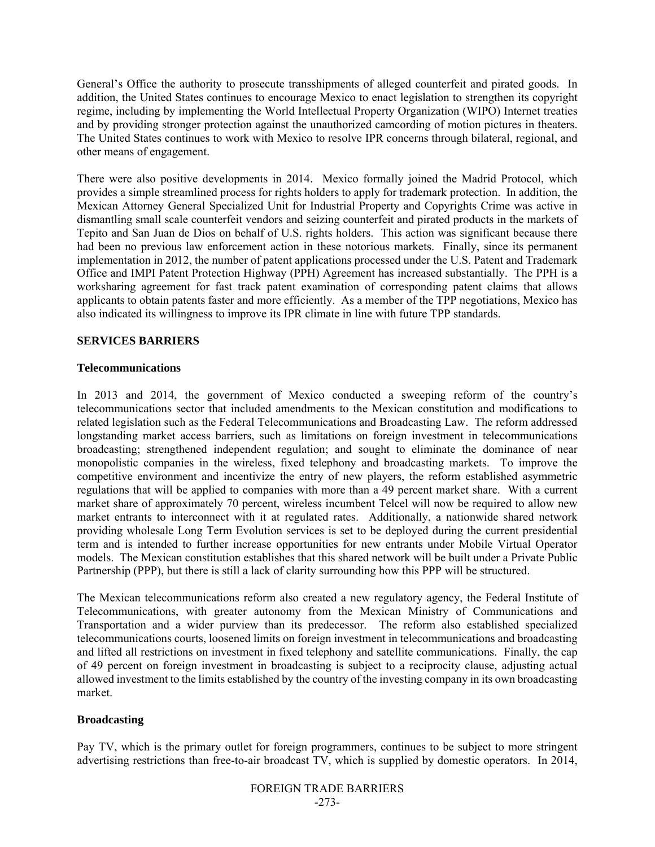General's Office the authority to prosecute transshipments of alleged counterfeit and pirated goods. In addition, the United States continues to encourage Mexico to enact legislation to strengthen its copyright regime, including by implementing the World Intellectual Property Organization (WIPO) Internet treaties and by providing stronger protection against the unauthorized camcording of motion pictures in theaters. The United States continues to work with Mexico to resolve IPR concerns through bilateral, regional, and other means of engagement.

There were also positive developments in 2014. Mexico formally joined the Madrid Protocol, which provides a simple streamlined process for rights holders to apply for trademark protection. In addition, the Mexican Attorney General Specialized Unit for Industrial Property and Copyrights Crime was active in dismantling small scale counterfeit vendors and seizing counterfeit and pirated products in the markets of Tepito and San Juan de Dios on behalf of U.S. rights holders. This action was significant because there had been no previous law enforcement action in these notorious markets. Finally, since its permanent implementation in 2012, the number of patent applications processed under the U.S. Patent and Trademark Office and IMPI Patent Protection Highway (PPH) Agreement has increased substantially. The PPH is a worksharing agreement for fast track patent examination of corresponding patent claims that allows applicants to obtain patents faster and more efficiently. As a member of the TPP negotiations, Mexico has also indicated its willingness to improve its IPR climate in line with future TPP standards.

### **SERVICES BARRIERS**

#### **Telecommunications**

In 2013 and 2014, the government of Mexico conducted a sweeping reform of the country's telecommunications sector that included amendments to the Mexican constitution and modifications to related legislation such as the Federal Telecommunications and Broadcasting Law. The reform addressed longstanding market access barriers, such as limitations on foreign investment in telecommunications broadcasting; strengthened independent regulation; and sought to eliminate the dominance of near monopolistic companies in the wireless, fixed telephony and broadcasting markets. To improve the competitive environment and incentivize the entry of new players, the reform established asymmetric regulations that will be applied to companies with more than a 49 percent market share. With a current market share of approximately 70 percent, wireless incumbent Telcel will now be required to allow new market entrants to interconnect with it at regulated rates. Additionally, a nationwide shared network providing wholesale Long Term Evolution services is set to be deployed during the current presidential term and is intended to further increase opportunities for new entrants under Mobile Virtual Operator models. The Mexican constitution establishes that this shared network will be built under a Private Public Partnership (PPP), but there is still a lack of clarity surrounding how this PPP will be structured.

The Mexican telecommunications reform also created a new regulatory agency, the Federal Institute of Telecommunications, with greater autonomy from the Mexican Ministry of Communications and Transportation and a wider purview than its predecessor. The reform also established specialized telecommunications courts, loosened limits on foreign investment in telecommunications and broadcasting and lifted all restrictions on investment in fixed telephony and satellite communications. Finally, the cap of 49 percent on foreign investment in broadcasting is subject to a reciprocity clause, adjusting actual allowed investment to the limits established by the country of the investing company in its own broadcasting market.

#### **Broadcasting**

Pay TV, which is the primary outlet for foreign programmers, continues to be subject to more stringent advertising restrictions than free-to-air broadcast TV, which is supplied by domestic operators. In 2014,